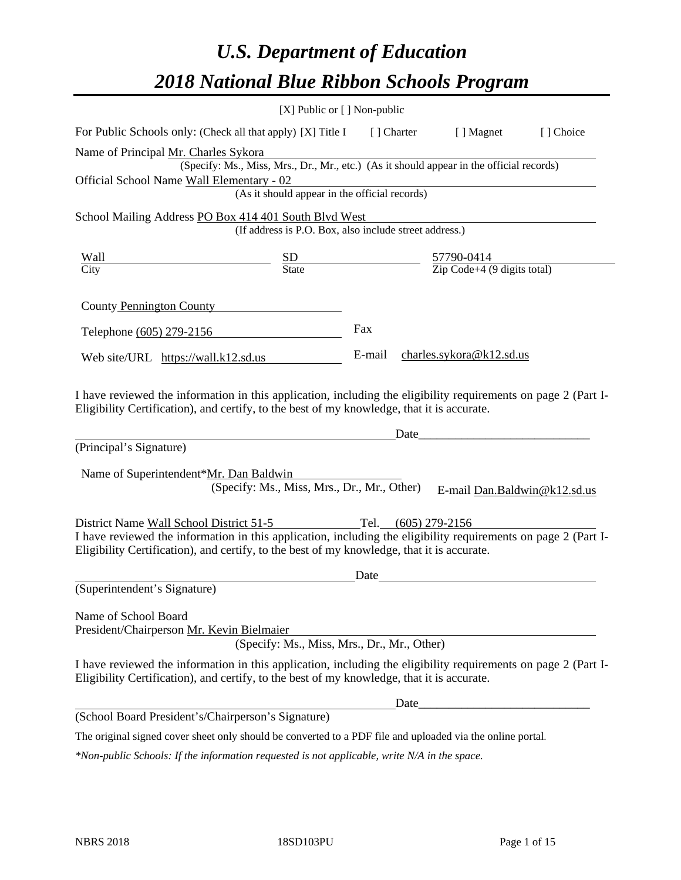# *U.S. Department of Education 2018 National Blue Ribbon Schools Program*

|                                                                                                                                                                                                              | [X] Public or [] Non-public                                                                                                                                                  |      |       |                                 |           |
|--------------------------------------------------------------------------------------------------------------------------------------------------------------------------------------------------------------|------------------------------------------------------------------------------------------------------------------------------------------------------------------------------|------|-------|---------------------------------|-----------|
| For Public Schools only: (Check all that apply) [X] Title I [] Charter [] Magnet                                                                                                                             |                                                                                                                                                                              |      |       |                                 | [] Choice |
| Name of Principal Mr. Charles Sykora<br>Official School Name Wall Elementary - 02                                                                                                                            | (Specify: Ms., Miss, Mrs., Dr., Mr., etc.) (As it should appear in the official records)<br>$\frac{\text{mentary} - U2}{\text{As it should appear in the official records}}$ |      |       |                                 |           |
| School Mailing Address PO Box 414 401 South Blvd West                                                                                                                                                        |                                                                                                                                                                              |      |       |                                 |           |
|                                                                                                                                                                                                              | (If address is P.O. Box, also include street address.)                                                                                                                       |      |       |                                 |           |
| Wall                                                                                                                                                                                                         | $\frac{\text{SD}}{\text{State}}$ $\frac{57790-0414}{\text{Zip Code}+4 (9 digits total)}$                                                                                     |      |       |                                 |           |
| City                                                                                                                                                                                                         |                                                                                                                                                                              |      |       |                                 |           |
| County Pennington County                                                                                                                                                                                     |                                                                                                                                                                              |      |       |                                 |           |
| Telephone (605) 279-2156                                                                                                                                                                                     |                                                                                                                                                                              | Fax  |       |                                 |           |
| Web site/URL https://wall.k12.sd.us                                                                                                                                                                          |                                                                                                                                                                              |      |       | E-mail charles.sykora@k12.sd.us |           |
| (Principal's Signature)<br>Name of Superintendent*Mr. Dan Baldwin                                                                                                                                            | (Specify: Ms., Miss, Mrs., Dr., Mr., Other)                                                                                                                                  |      | Date_ | E-mail Dan.Baldwin@k12.sd.us    |           |
| District Name Wall School District 51-5 Tel. (605) 279-2156                                                                                                                                                  |                                                                                                                                                                              |      |       |                                 |           |
| I have reviewed the information in this application, including the eligibility requirements on page 2 (Part I-<br>Eligibility Certification), and certify, to the best of my knowledge, that it is accurate. |                                                                                                                                                                              |      |       |                                 |           |
|                                                                                                                                                                                                              |                                                                                                                                                                              | Date |       |                                 |           |
| (Superintendent's Signature)                                                                                                                                                                                 |                                                                                                                                                                              |      |       |                                 |           |
| Name of School Board<br>President/Chairperson Mr. Kevin Bielmaier                                                                                                                                            | (Specify: Ms., Miss, Mrs., Dr., Mr., Other)                                                                                                                                  |      |       |                                 |           |
| I have reviewed the information in this application, including the eligibility requirements on page 2 (Part I-<br>Eligibility Certification), and certify, to the best of my knowledge, that it is accurate. |                                                                                                                                                                              |      |       |                                 |           |
|                                                                                                                                                                                                              |                                                                                                                                                                              |      |       |                                 |           |
| (School Board President's/Chairperson's Signature)                                                                                                                                                           |                                                                                                                                                                              |      |       |                                 |           |
| The original signed cover sheet only should be converted to a PDF file and uploaded via the online portal.                                                                                                   |                                                                                                                                                                              |      |       |                                 |           |

*\*Non-public Schools: If the information requested is not applicable, write N/A in the space.*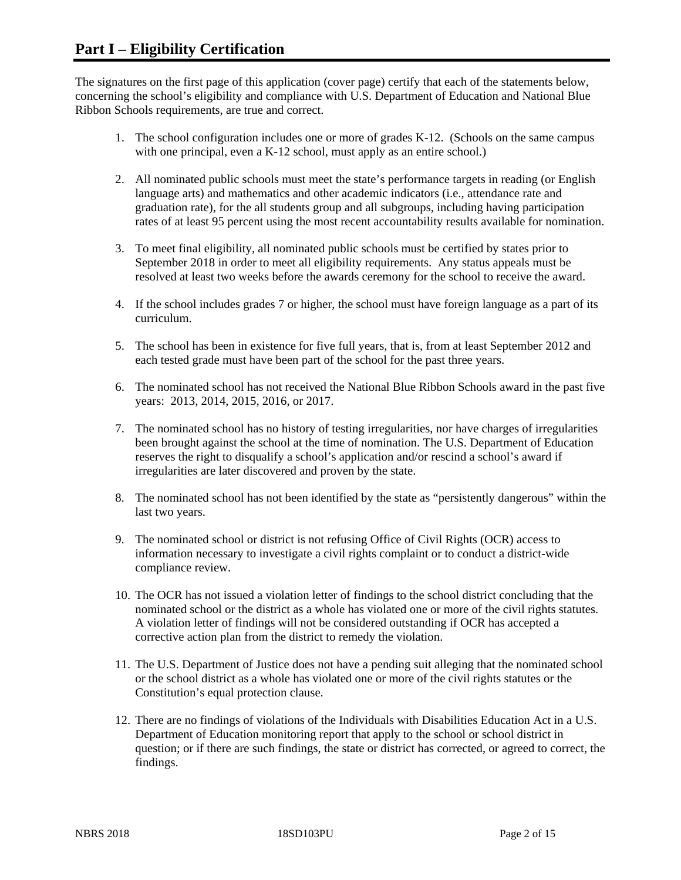The signatures on the first page of this application (cover page) certify that each of the statements below, concerning the school's eligibility and compliance with U.S. Department of Education and National Blue Ribbon Schools requirements, are true and correct.

- 1. The school configuration includes one or more of grades K-12. (Schools on the same campus with one principal, even a K-12 school, must apply as an entire school.)
- 2. All nominated public schools must meet the state's performance targets in reading (or English language arts) and mathematics and other academic indicators (i.e., attendance rate and graduation rate), for the all students group and all subgroups, including having participation rates of at least 95 percent using the most recent accountability results available for nomination.
- 3. To meet final eligibility, all nominated public schools must be certified by states prior to September 2018 in order to meet all eligibility requirements. Any status appeals must be resolved at least two weeks before the awards ceremony for the school to receive the award.
- 4. If the school includes grades 7 or higher, the school must have foreign language as a part of its curriculum.
- 5. The school has been in existence for five full years, that is, from at least September 2012 and each tested grade must have been part of the school for the past three years.
- 6. The nominated school has not received the National Blue Ribbon Schools award in the past five years: 2013, 2014, 2015, 2016, or 2017.
- 7. The nominated school has no history of testing irregularities, nor have charges of irregularities been brought against the school at the time of nomination. The U.S. Department of Education reserves the right to disqualify a school's application and/or rescind a school's award if irregularities are later discovered and proven by the state.
- 8. The nominated school has not been identified by the state as "persistently dangerous" within the last two years.
- 9. The nominated school or district is not refusing Office of Civil Rights (OCR) access to information necessary to investigate a civil rights complaint or to conduct a district-wide compliance review.
- 10. The OCR has not issued a violation letter of findings to the school district concluding that the nominated school or the district as a whole has violated one or more of the civil rights statutes. A violation letter of findings will not be considered outstanding if OCR has accepted a corrective action plan from the district to remedy the violation.
- 11. The U.S. Department of Justice does not have a pending suit alleging that the nominated school or the school district as a whole has violated one or more of the civil rights statutes or the Constitution's equal protection clause.
- 12. There are no findings of violations of the Individuals with Disabilities Education Act in a U.S. Department of Education monitoring report that apply to the school or school district in question; or if there are such findings, the state or district has corrected, or agreed to correct, the findings.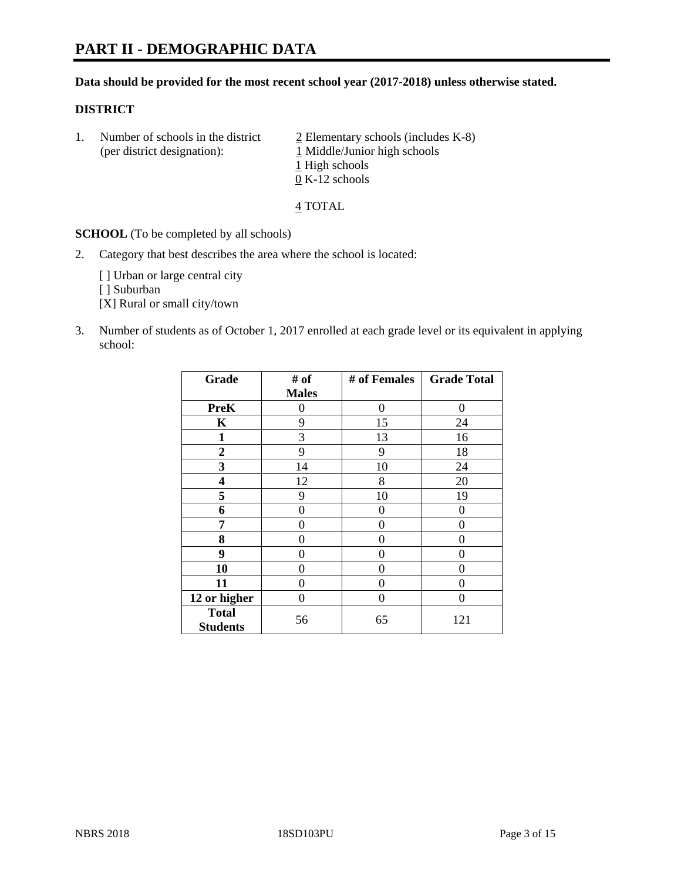# **PART II - DEMOGRAPHIC DATA**

#### **Data should be provided for the most recent school year (2017-2018) unless otherwise stated.**

#### **DISTRICT**

1. Number of schools in the district  $\frac{2}{2}$  Elementary schools (includes K-8) (per district designation): 1 Middle/Junior high schools 1 High schools 0 K-12 schools

4 TOTAL

**SCHOOL** (To be completed by all schools)

2. Category that best describes the area where the school is located:

[] Urban or large central city

[ ] Suburban

[X] Rural or small city/town

3. Number of students as of October 1, 2017 enrolled at each grade level or its equivalent in applying school:

| Grade                           | # of         | # of Females | <b>Grade Total</b> |
|---------------------------------|--------------|--------------|--------------------|
|                                 | <b>Males</b> |              |                    |
| <b>PreK</b>                     | 0            | $\theta$     | 0                  |
| $\mathbf K$                     | 9            | 15           | 24                 |
| $\mathbf{1}$                    | 3            | 13           | 16                 |
| 2                               | 9            | 9            | 18                 |
| 3                               | 14           | 10           | 24                 |
| 4                               | 12           | 8            | 20                 |
| 5                               | 9            | 10           | 19                 |
| 6                               | 0            | 0            | 0                  |
| 7                               | 0            | 0            | 0                  |
| 8                               | 0            | 0            | 0                  |
| 9                               | 0            | 0            | 0                  |
| 10                              | 0            | 0            | 0                  |
| 11                              | 0            | 0            | 0                  |
| 12 or higher                    | 0            | $\theta$     | 0                  |
| <b>Total</b><br><b>Students</b> | 56           | 65           | 121                |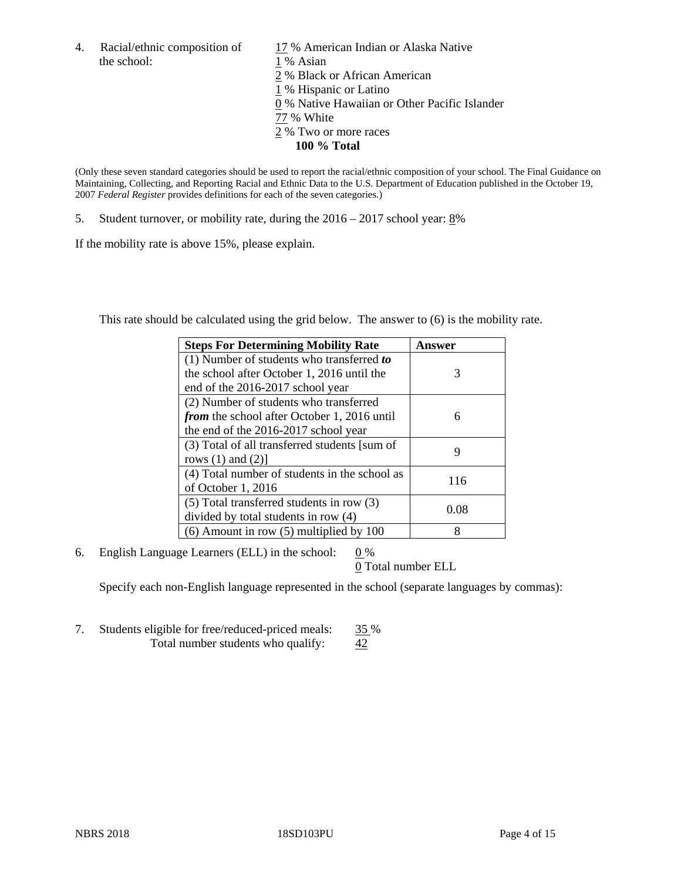the school: 1 % Asian

4. Racial/ethnic composition of  $17%$  American Indian or Alaska Native 2 % Black or African American 1 % Hispanic or Latino 0 % Native Hawaiian or Other Pacific Islander 77 % White 2 % Two or more races **100 % Total**

(Only these seven standard categories should be used to report the racial/ethnic composition of your school. The Final Guidance on Maintaining, Collecting, and Reporting Racial and Ethnic Data to the U.S. Department of Education published in the October 19, 2007 *Federal Register* provides definitions for each of the seven categories.)

5. Student turnover, or mobility rate, during the 2016 – 2017 school year: 8%

If the mobility rate is above 15%, please explain.

This rate should be calculated using the grid below. The answer to (6) is the mobility rate.

| <b>Steps For Determining Mobility Rate</b>         | Answer |
|----------------------------------------------------|--------|
| $(1)$ Number of students who transferred to        |        |
| the school after October 1, 2016 until the         | 3      |
| end of the 2016-2017 school year                   |        |
| (2) Number of students who transferred             |        |
| <i>from</i> the school after October 1, 2016 until | 6      |
| the end of the 2016-2017 school year               |        |
| (3) Total of all transferred students [sum of      |        |
| rows $(1)$ and $(2)$ ]                             | 9      |
| (4) Total number of students in the school as      |        |
| of October 1, 2016                                 | 116    |
| $(5)$ Total transferred students in row $(3)$      |        |
| divided by total students in row (4)               | 0.08   |
| $(6)$ Amount in row $(5)$ multiplied by 100        | 8      |

6. English Language Learners (ELL) in the school:  $0\%$ 

0 Total number ELL

Specify each non-English language represented in the school (separate languages by commas):

7. Students eligible for free/reduced-priced meals:  $\frac{35\%}{42}$ Total number students who qualify: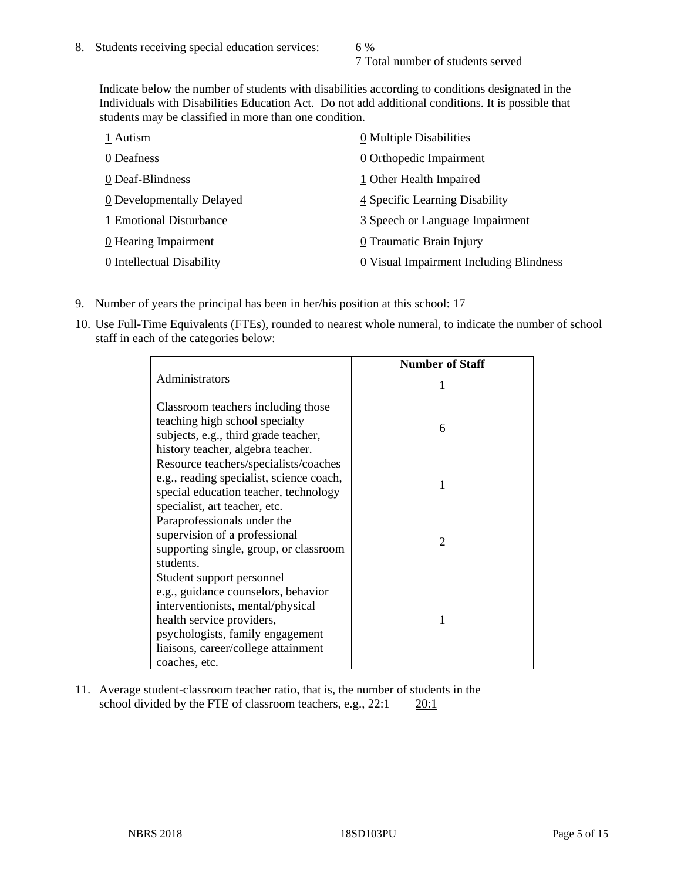7 Total number of students served

Indicate below the number of students with disabilities according to conditions designated in the Individuals with Disabilities Education Act. Do not add additional conditions. It is possible that students may be classified in more than one condition.

| 1 Autism                  | $\underline{0}$ Multiple Disabilities   |
|---------------------------|-----------------------------------------|
| 0 Deafness                | 0 Orthopedic Impairment                 |
| 0 Deaf-Blindness          | 1 Other Health Impaired                 |
| 0 Developmentally Delayed | 4 Specific Learning Disability          |
| 1 Emotional Disturbance   | 3 Speech or Language Impairment         |
| 0 Hearing Impairment      | 0 Traumatic Brain Injury                |
| 0 Intellectual Disability | 0 Visual Impairment Including Blindness |

- 9. Number of years the principal has been in her/his position at this school: 17
- 10. Use Full-Time Equivalents (FTEs), rounded to nearest whole numeral, to indicate the number of school staff in each of the categories below:

|                                                                                                                                                                                                                                | <b>Number of Staff</b>      |
|--------------------------------------------------------------------------------------------------------------------------------------------------------------------------------------------------------------------------------|-----------------------------|
| Administrators                                                                                                                                                                                                                 |                             |
| Classroom teachers including those<br>teaching high school specialty<br>subjects, e.g., third grade teacher,<br>history teacher, algebra teacher.                                                                              | 6                           |
| Resource teachers/specialists/coaches<br>e.g., reading specialist, science coach,<br>special education teacher, technology<br>specialist, art teacher, etc.                                                                    |                             |
| Paraprofessionals under the<br>supervision of a professional<br>supporting single, group, or classroom<br>students.                                                                                                            | $\mathcal{D}_{\mathcal{A}}$ |
| Student support personnel<br>e.g., guidance counselors, behavior<br>interventionists, mental/physical<br>health service providers,<br>psychologists, family engagement<br>liaisons, career/college attainment<br>coaches, etc. |                             |

11. Average student-classroom teacher ratio, that is, the number of students in the school divided by the FTE of classroom teachers, e.g.,  $22:1$  20:1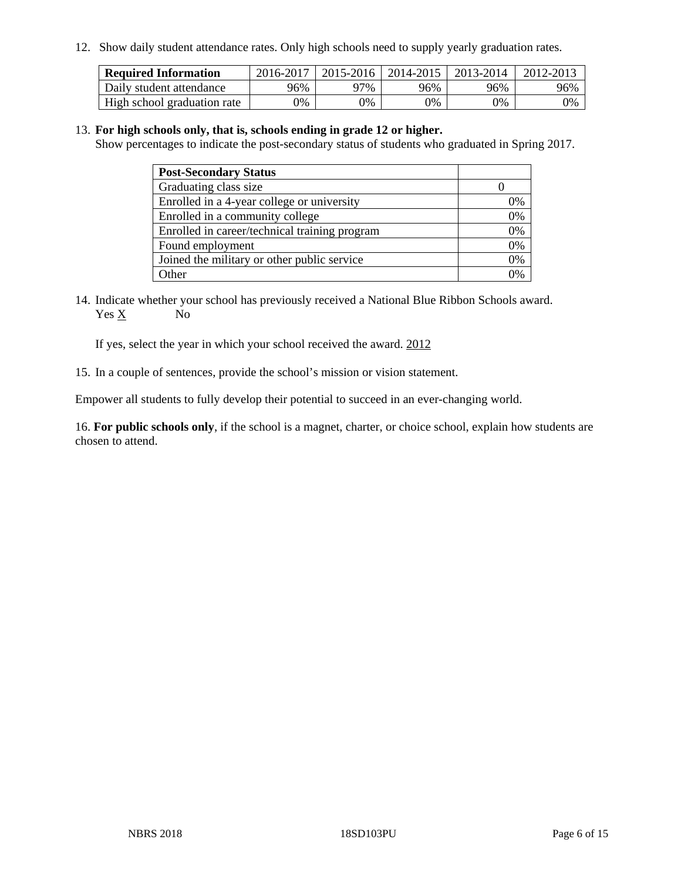12. Show daily student attendance rates. Only high schools need to supply yearly graduation rates.

| <b>Required Information</b> | 2016-2017 | 2015-2016 | 2014-2015 | 2013-2014 | 2012-2013 |
|-----------------------------|-----------|-----------|-----------|-----------|-----------|
| Daily student attendance    | 96%       | 97%       | 96%       | 96%       | 96%       |
| High school graduation rate | 0%        | 0%        | 0%        | 0%        | 0%        |

#### 13. **For high schools only, that is, schools ending in grade 12 or higher.**

Show percentages to indicate the post-secondary status of students who graduated in Spring 2017.

| <b>Post-Secondary Status</b>                  |    |
|-----------------------------------------------|----|
| Graduating class size                         |    |
| Enrolled in a 4-year college or university    | 0% |
| Enrolled in a community college               | 0% |
| Enrolled in career/technical training program | 0% |
| Found employment                              | 0% |
| Joined the military or other public service   | 0% |
| . Other                                       |    |

14. Indicate whether your school has previously received a National Blue Ribbon Schools award. Yes X No

If yes, select the year in which your school received the award. 2012

15. In a couple of sentences, provide the school's mission or vision statement.

Empower all students to fully develop their potential to succeed in an ever-changing world.

16. **For public schools only**, if the school is a magnet, charter, or choice school, explain how students are chosen to attend.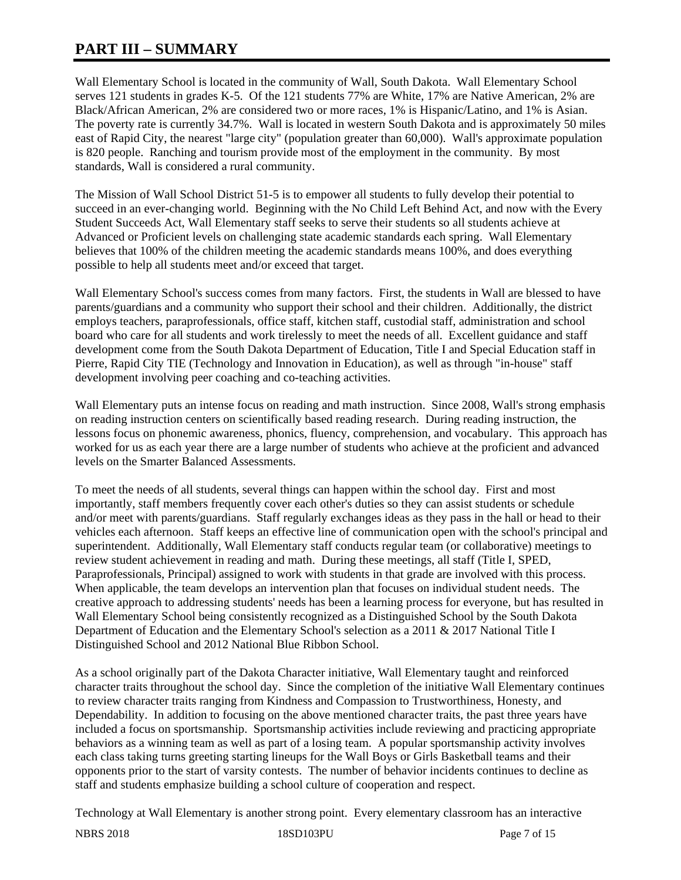# **PART III – SUMMARY**

Wall Elementary School is located in the community of Wall, South Dakota. Wall Elementary School serves 121 students in grades K-5. Of the 121 students 77% are White, 17% are Native American, 2% are Black/African American, 2% are considered two or more races, 1% is Hispanic/Latino, and 1% is Asian. The poverty rate is currently 34.7%. Wall is located in western South Dakota and is approximately 50 miles east of Rapid City, the nearest "large city" (population greater than 60,000). Wall's approximate population is 820 people. Ranching and tourism provide most of the employment in the community. By most standards, Wall is considered a rural community.

The Mission of Wall School District 51-5 is to empower all students to fully develop their potential to succeed in an ever-changing world. Beginning with the No Child Left Behind Act, and now with the Every Student Succeeds Act, Wall Elementary staff seeks to serve their students so all students achieve at Advanced or Proficient levels on challenging state academic standards each spring. Wall Elementary believes that 100% of the children meeting the academic standards means 100%, and does everything possible to help all students meet and/or exceed that target.

Wall Elementary School's success comes from many factors. First, the students in Wall are blessed to have parents/guardians and a community who support their school and their children. Additionally, the district employs teachers, paraprofessionals, office staff, kitchen staff, custodial staff, administration and school board who care for all students and work tirelessly to meet the needs of all. Excellent guidance and staff development come from the South Dakota Department of Education, Title I and Special Education staff in Pierre, Rapid City TIE (Technology and Innovation in Education), as well as through "in-house" staff development involving peer coaching and co-teaching activities.

Wall Elementary puts an intense focus on reading and math instruction. Since 2008, Wall's strong emphasis on reading instruction centers on scientifically based reading research. During reading instruction, the lessons focus on phonemic awareness, phonics, fluency, comprehension, and vocabulary. This approach has worked for us as each year there are a large number of students who achieve at the proficient and advanced levels on the Smarter Balanced Assessments.

To meet the needs of all students, several things can happen within the school day. First and most importantly, staff members frequently cover each other's duties so they can assist students or schedule and/or meet with parents/guardians. Staff regularly exchanges ideas as they pass in the hall or head to their vehicles each afternoon. Staff keeps an effective line of communication open with the school's principal and superintendent. Additionally, Wall Elementary staff conducts regular team (or collaborative) meetings to review student achievement in reading and math. During these meetings, all staff (Title I, SPED, Paraprofessionals, Principal) assigned to work with students in that grade are involved with this process. When applicable, the team develops an intervention plan that focuses on individual student needs. The creative approach to addressing students' needs has been a learning process for everyone, but has resulted in Wall Elementary School being consistently recognized as a Distinguished School by the South Dakota Department of Education and the Elementary School's selection as a 2011 & 2017 National Title I Distinguished School and 2012 National Blue Ribbon School.

As a school originally part of the Dakota Character initiative, Wall Elementary taught and reinforced character traits throughout the school day. Since the completion of the initiative Wall Elementary continues to review character traits ranging from Kindness and Compassion to Trustworthiness, Honesty, and Dependability. In addition to focusing on the above mentioned character traits, the past three years have included a focus on sportsmanship. Sportsmanship activities include reviewing and practicing appropriate behaviors as a winning team as well as part of a losing team. A popular sportsmanship activity involves each class taking turns greeting starting lineups for the Wall Boys or Girls Basketball teams and their opponents prior to the start of varsity contests. The number of behavior incidents continues to decline as staff and students emphasize building a school culture of cooperation and respect.

Technology at Wall Elementary is another strong point. Every elementary classroom has an interactive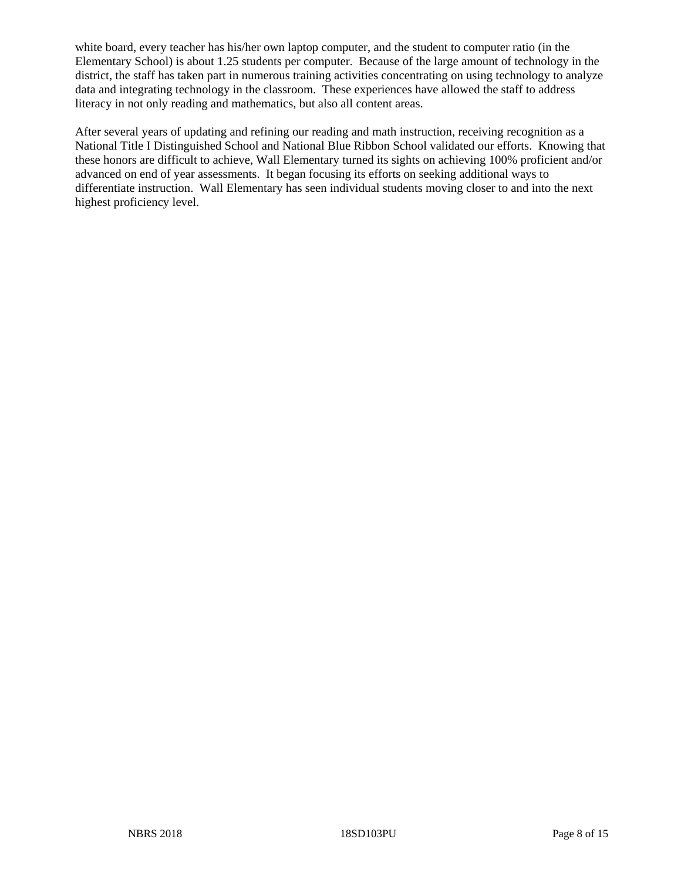white board, every teacher has his/her own laptop computer, and the student to computer ratio (in the Elementary School) is about 1.25 students per computer. Because of the large amount of technology in the district, the staff has taken part in numerous training activities concentrating on using technology to analyze data and integrating technology in the classroom. These experiences have allowed the staff to address literacy in not only reading and mathematics, but also all content areas.

After several years of updating and refining our reading and math instruction, receiving recognition as a National Title I Distinguished School and National Blue Ribbon School validated our efforts. Knowing that these honors are difficult to achieve, Wall Elementary turned its sights on achieving 100% proficient and/or advanced on end of year assessments. It began focusing its efforts on seeking additional ways to differentiate instruction. Wall Elementary has seen individual students moving closer to and into the next highest proficiency level.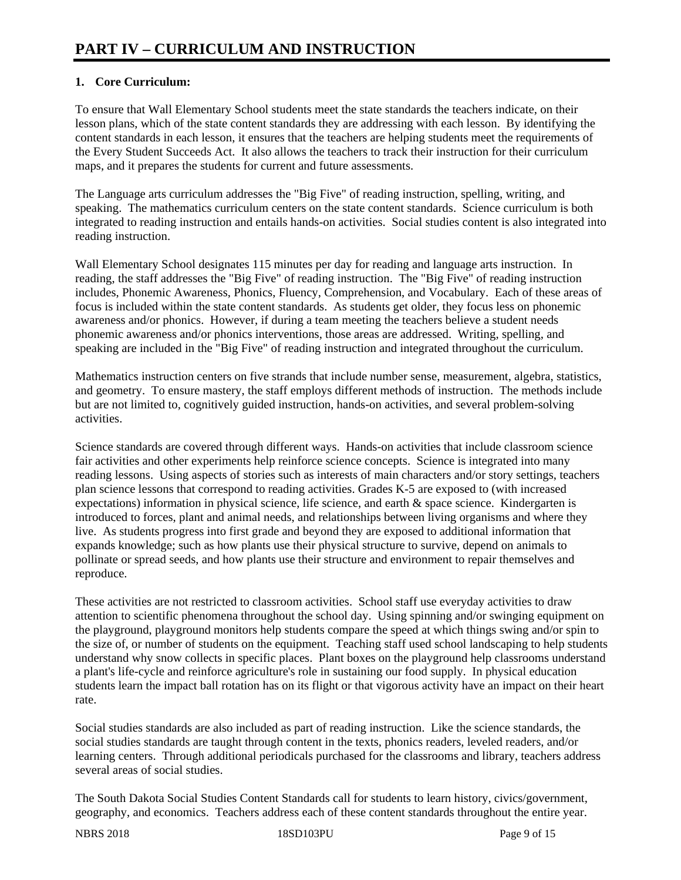## **1. Core Curriculum:**

To ensure that Wall Elementary School students meet the state standards the teachers indicate, on their lesson plans, which of the state content standards they are addressing with each lesson. By identifying the content standards in each lesson, it ensures that the teachers are helping students meet the requirements of the Every Student Succeeds Act. It also allows the teachers to track their instruction for their curriculum maps, and it prepares the students for current and future assessments.

The Language arts curriculum addresses the "Big Five" of reading instruction, spelling, writing, and speaking. The mathematics curriculum centers on the state content standards. Science curriculum is both integrated to reading instruction and entails hands-on activities. Social studies content is also integrated into reading instruction.

Wall Elementary School designates 115 minutes per day for reading and language arts instruction. In reading, the staff addresses the "Big Five" of reading instruction. The "Big Five" of reading instruction includes, Phonemic Awareness, Phonics, Fluency, Comprehension, and Vocabulary. Each of these areas of focus is included within the state content standards. As students get older, they focus less on phonemic awareness and/or phonics. However, if during a team meeting the teachers believe a student needs phonemic awareness and/or phonics interventions, those areas are addressed. Writing, spelling, and speaking are included in the "Big Five" of reading instruction and integrated throughout the curriculum.

Mathematics instruction centers on five strands that include number sense, measurement, algebra, statistics, and geometry. To ensure mastery, the staff employs different methods of instruction. The methods include but are not limited to, cognitively guided instruction, hands-on activities, and several problem-solving activities.

Science standards are covered through different ways. Hands-on activities that include classroom science fair activities and other experiments help reinforce science concepts. Science is integrated into many reading lessons. Using aspects of stories such as interests of main characters and/or story settings, teachers plan science lessons that correspond to reading activities. Grades K-5 are exposed to (with increased expectations) information in physical science, life science, and earth & space science. Kindergarten is introduced to forces, plant and animal needs, and relationships between living organisms and where they live. As students progress into first grade and beyond they are exposed to additional information that expands knowledge; such as how plants use their physical structure to survive, depend on animals to pollinate or spread seeds, and how plants use their structure and environment to repair themselves and reproduce.

These activities are not restricted to classroom activities. School staff use everyday activities to draw attention to scientific phenomena throughout the school day. Using spinning and/or swinging equipment on the playground, playground monitors help students compare the speed at which things swing and/or spin to the size of, or number of students on the equipment. Teaching staff used school landscaping to help students understand why snow collects in specific places. Plant boxes on the playground help classrooms understand a plant's life-cycle and reinforce agriculture's role in sustaining our food supply. In physical education students learn the impact ball rotation has on its flight or that vigorous activity have an impact on their heart rate.

Social studies standards are also included as part of reading instruction. Like the science standards, the social studies standards are taught through content in the texts, phonics readers, leveled readers, and/or learning centers. Through additional periodicals purchased for the classrooms and library, teachers address several areas of social studies.

The South Dakota Social Studies Content Standards call for students to learn history, civics/government, geography, and economics. Teachers address each of these content standards throughout the entire year.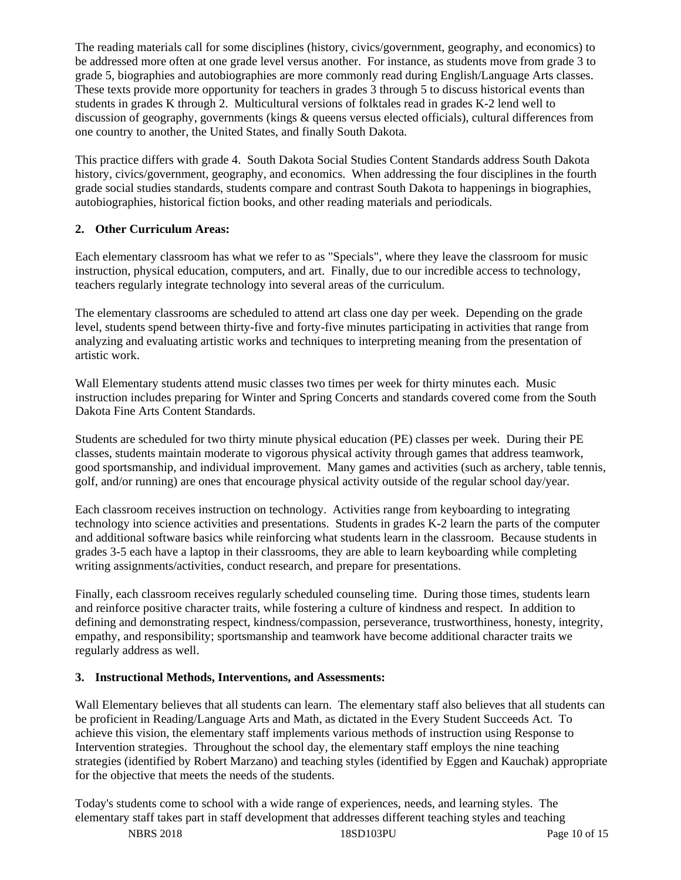The reading materials call for some disciplines (history, civics/government, geography, and economics) to be addressed more often at one grade level versus another. For instance, as students move from grade 3 to grade 5, biographies and autobiographies are more commonly read during English/Language Arts classes. These texts provide more opportunity for teachers in grades 3 through 5 to discuss historical events than students in grades K through 2. Multicultural versions of folktales read in grades K-2 lend well to discussion of geography, governments (kings & queens versus elected officials), cultural differences from one country to another, the United States, and finally South Dakota.

This practice differs with grade 4. South Dakota Social Studies Content Standards address South Dakota history, civics/government, geography, and economics. When addressing the four disciplines in the fourth grade social studies standards, students compare and contrast South Dakota to happenings in biographies, autobiographies, historical fiction books, and other reading materials and periodicals.

# **2. Other Curriculum Areas:**

Each elementary classroom has what we refer to as "Specials", where they leave the classroom for music instruction, physical education, computers, and art. Finally, due to our incredible access to technology, teachers regularly integrate technology into several areas of the curriculum.

The elementary classrooms are scheduled to attend art class one day per week. Depending on the grade level, students spend between thirty-five and forty-five minutes participating in activities that range from analyzing and evaluating artistic works and techniques to interpreting meaning from the presentation of artistic work.

Wall Elementary students attend music classes two times per week for thirty minutes each. Music instruction includes preparing for Winter and Spring Concerts and standards covered come from the South Dakota Fine Arts Content Standards.

Students are scheduled for two thirty minute physical education (PE) classes per week. During their PE classes, students maintain moderate to vigorous physical activity through games that address teamwork, good sportsmanship, and individual improvement. Many games and activities (such as archery, table tennis, golf, and/or running) are ones that encourage physical activity outside of the regular school day/year.

Each classroom receives instruction on technology. Activities range from keyboarding to integrating technology into science activities and presentations. Students in grades K-2 learn the parts of the computer and additional software basics while reinforcing what students learn in the classroom. Because students in grades 3-5 each have a laptop in their classrooms, they are able to learn keyboarding while completing writing assignments/activities, conduct research, and prepare for presentations.

Finally, each classroom receives regularly scheduled counseling time. During those times, students learn and reinforce positive character traits, while fostering a culture of kindness and respect. In addition to defining and demonstrating respect, kindness/compassion, perseverance, trustworthiness, honesty, integrity, empathy, and responsibility; sportsmanship and teamwork have become additional character traits we regularly address as well.

## **3. Instructional Methods, Interventions, and Assessments:**

Wall Elementary believes that all students can learn. The elementary staff also believes that all students can be proficient in Reading/Language Arts and Math, as dictated in the Every Student Succeeds Act. To achieve this vision, the elementary staff implements various methods of instruction using Response to Intervention strategies. Throughout the school day, the elementary staff employs the nine teaching strategies (identified by Robert Marzano) and teaching styles (identified by Eggen and Kauchak) appropriate for the objective that meets the needs of the students.

Today's students come to school with a wide range of experiences, needs, and learning styles. The elementary staff takes part in staff development that addresses different teaching styles and teaching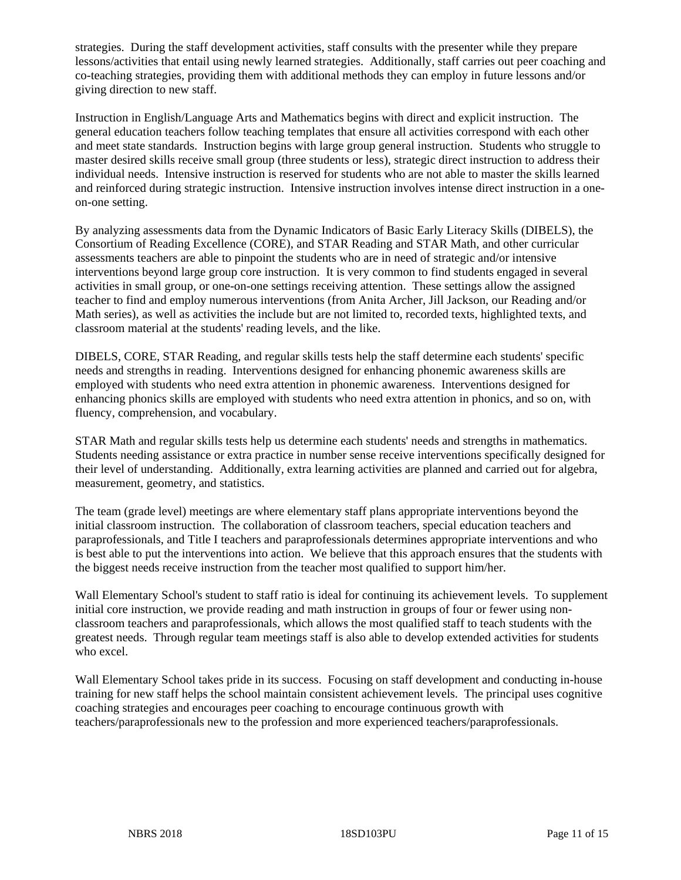strategies. During the staff development activities, staff consults with the presenter while they prepare lessons/activities that entail using newly learned strategies. Additionally, staff carries out peer coaching and co-teaching strategies, providing them with additional methods they can employ in future lessons and/or giving direction to new staff.

Instruction in English/Language Arts and Mathematics begins with direct and explicit instruction. The general education teachers follow teaching templates that ensure all activities correspond with each other and meet state standards. Instruction begins with large group general instruction. Students who struggle to master desired skills receive small group (three students or less), strategic direct instruction to address their individual needs. Intensive instruction is reserved for students who are not able to master the skills learned and reinforced during strategic instruction. Intensive instruction involves intense direct instruction in a oneon-one setting.

By analyzing assessments data from the Dynamic Indicators of Basic Early Literacy Skills (DIBELS), the Consortium of Reading Excellence (CORE), and STAR Reading and STAR Math, and other curricular assessments teachers are able to pinpoint the students who are in need of strategic and/or intensive interventions beyond large group core instruction. It is very common to find students engaged in several activities in small group, or one-on-one settings receiving attention. These settings allow the assigned teacher to find and employ numerous interventions (from Anita Archer, Jill Jackson, our Reading and/or Math series), as well as activities the include but are not limited to, recorded texts, highlighted texts, and classroom material at the students' reading levels, and the like.

DIBELS, CORE, STAR Reading, and regular skills tests help the staff determine each students' specific needs and strengths in reading. Interventions designed for enhancing phonemic awareness skills are employed with students who need extra attention in phonemic awareness. Interventions designed for enhancing phonics skills are employed with students who need extra attention in phonics, and so on, with fluency, comprehension, and vocabulary.

STAR Math and regular skills tests help us determine each students' needs and strengths in mathematics. Students needing assistance or extra practice in number sense receive interventions specifically designed for their level of understanding. Additionally, extra learning activities are planned and carried out for algebra, measurement, geometry, and statistics.

The team (grade level) meetings are where elementary staff plans appropriate interventions beyond the initial classroom instruction. The collaboration of classroom teachers, special education teachers and paraprofessionals, and Title I teachers and paraprofessionals determines appropriate interventions and who is best able to put the interventions into action. We believe that this approach ensures that the students with the biggest needs receive instruction from the teacher most qualified to support him/her.

Wall Elementary School's student to staff ratio is ideal for continuing its achievement levels. To supplement initial core instruction, we provide reading and math instruction in groups of four or fewer using nonclassroom teachers and paraprofessionals, which allows the most qualified staff to teach students with the greatest needs. Through regular team meetings staff is also able to develop extended activities for students who excel.

Wall Elementary School takes pride in its success. Focusing on staff development and conducting in-house training for new staff helps the school maintain consistent achievement levels. The principal uses cognitive coaching strategies and encourages peer coaching to encourage continuous growth with teachers/paraprofessionals new to the profession and more experienced teachers/paraprofessionals.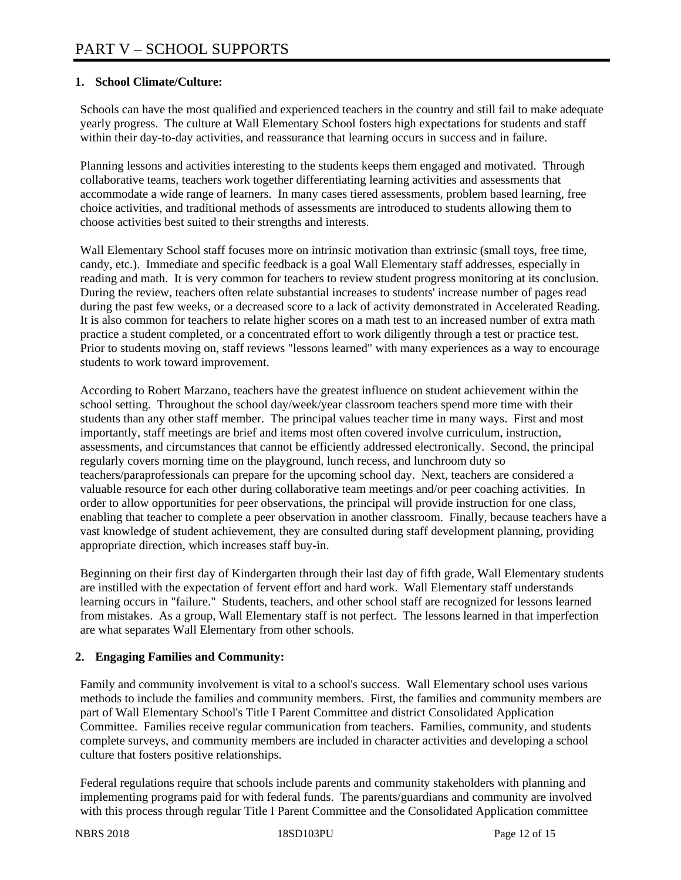## **1. School Climate/Culture:**

Schools can have the most qualified and experienced teachers in the country and still fail to make adequate yearly progress. The culture at Wall Elementary School fosters high expectations for students and staff within their day-to-day activities, and reassurance that learning occurs in success and in failure.

Planning lessons and activities interesting to the students keeps them engaged and motivated. Through collaborative teams, teachers work together differentiating learning activities and assessments that accommodate a wide range of learners. In many cases tiered assessments, problem based learning, free choice activities, and traditional methods of assessments are introduced to students allowing them to choose activities best suited to their strengths and interests.

Wall Elementary School staff focuses more on intrinsic motivation than extrinsic (small toys, free time, candy, etc.). Immediate and specific feedback is a goal Wall Elementary staff addresses, especially in reading and math. It is very common for teachers to review student progress monitoring at its conclusion. During the review, teachers often relate substantial increases to students' increase number of pages read during the past few weeks, or a decreased score to a lack of activity demonstrated in Accelerated Reading. It is also common for teachers to relate higher scores on a math test to an increased number of extra math practice a student completed, or a concentrated effort to work diligently through a test or practice test. Prior to students moving on, staff reviews "lessons learned" with many experiences as a way to encourage students to work toward improvement.

According to Robert Marzano, teachers have the greatest influence on student achievement within the school setting. Throughout the school day/week/year classroom teachers spend more time with their students than any other staff member. The principal values teacher time in many ways. First and most importantly, staff meetings are brief and items most often covered involve curriculum, instruction, assessments, and circumstances that cannot be efficiently addressed electronically. Second, the principal regularly covers morning time on the playground, lunch recess, and lunchroom duty so teachers/paraprofessionals can prepare for the upcoming school day. Next, teachers are considered a valuable resource for each other during collaborative team meetings and/or peer coaching activities. In order to allow opportunities for peer observations, the principal will provide instruction for one class, enabling that teacher to complete a peer observation in another classroom. Finally, because teachers have a vast knowledge of student achievement, they are consulted during staff development planning, providing appropriate direction, which increases staff buy-in.

Beginning on their first day of Kindergarten through their last day of fifth grade, Wall Elementary students are instilled with the expectation of fervent effort and hard work. Wall Elementary staff understands learning occurs in "failure." Students, teachers, and other school staff are recognized for lessons learned from mistakes. As a group, Wall Elementary staff is not perfect. The lessons learned in that imperfection are what separates Wall Elementary from other schools.

## **2. Engaging Families and Community:**

Family and community involvement is vital to a school's success. Wall Elementary school uses various methods to include the families and community members. First, the families and community members are part of Wall Elementary School's Title I Parent Committee and district Consolidated Application Committee. Families receive regular communication from teachers. Families, community, and students complete surveys, and community members are included in character activities and developing a school culture that fosters positive relationships.

Federal regulations require that schools include parents and community stakeholders with planning and implementing programs paid for with federal funds. The parents/guardians and community are involved with this process through regular Title I Parent Committee and the Consolidated Application committee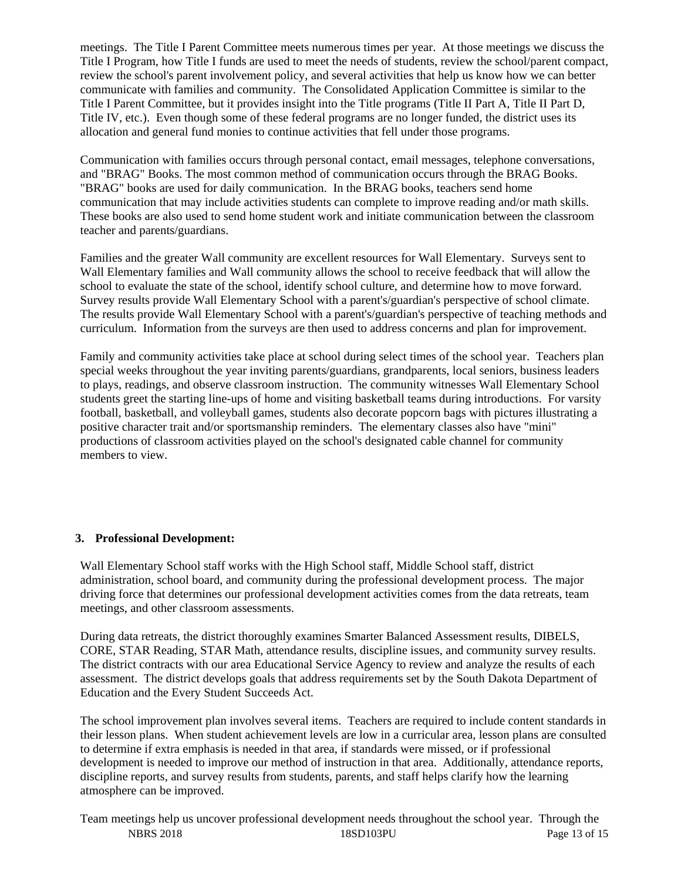meetings. The Title I Parent Committee meets numerous times per year. At those meetings we discuss the Title I Program, how Title I funds are used to meet the needs of students, review the school/parent compact, review the school's parent involvement policy, and several activities that help us know how we can better communicate with families and community. The Consolidated Application Committee is similar to the Title I Parent Committee, but it provides insight into the Title programs (Title II Part A, Title II Part D, Title IV, etc.). Even though some of these federal programs are no longer funded, the district uses its allocation and general fund monies to continue activities that fell under those programs.

Communication with families occurs through personal contact, email messages, telephone conversations, and "BRAG" Books. The most common method of communication occurs through the BRAG Books. "BRAG" books are used for daily communication. In the BRAG books, teachers send home communication that may include activities students can complete to improve reading and/or math skills. These books are also used to send home student work and initiate communication between the classroom teacher and parents/guardians.

Families and the greater Wall community are excellent resources for Wall Elementary. Surveys sent to Wall Elementary families and Wall community allows the school to receive feedback that will allow the school to evaluate the state of the school, identify school culture, and determine how to move forward. Survey results provide Wall Elementary School with a parent's/guardian's perspective of school climate. The results provide Wall Elementary School with a parent's/guardian's perspective of teaching methods and curriculum. Information from the surveys are then used to address concerns and plan for improvement.

Family and community activities take place at school during select times of the school year. Teachers plan special weeks throughout the year inviting parents/guardians, grandparents, local seniors, business leaders to plays, readings, and observe classroom instruction. The community witnesses Wall Elementary School students greet the starting line-ups of home and visiting basketball teams during introductions. For varsity football, basketball, and volleyball games, students also decorate popcorn bags with pictures illustrating a positive character trait and/or sportsmanship reminders. The elementary classes also have "mini" productions of classroom activities played on the school's designated cable channel for community members to view.

#### **3. Professional Development:**

Wall Elementary School staff works with the High School staff, Middle School staff, district administration, school board, and community during the professional development process. The major driving force that determines our professional development activities comes from the data retreats, team meetings, and other classroom assessments.

During data retreats, the district thoroughly examines Smarter Balanced Assessment results, DIBELS, CORE, STAR Reading, STAR Math, attendance results, discipline issues, and community survey results. The district contracts with our area Educational Service Agency to review and analyze the results of each assessment. The district develops goals that address requirements set by the South Dakota Department of Education and the Every Student Succeeds Act.

The school improvement plan involves several items. Teachers are required to include content standards in their lesson plans. When student achievement levels are low in a curricular area, lesson plans are consulted to determine if extra emphasis is needed in that area, if standards were missed, or if professional development is needed to improve our method of instruction in that area. Additionally, attendance reports, discipline reports, and survey results from students, parents, and staff helps clarify how the learning atmosphere can be improved.

NBRS 2018 18SD103PU Page 13 of 15 Team meetings help us uncover professional development needs throughout the school year. Through the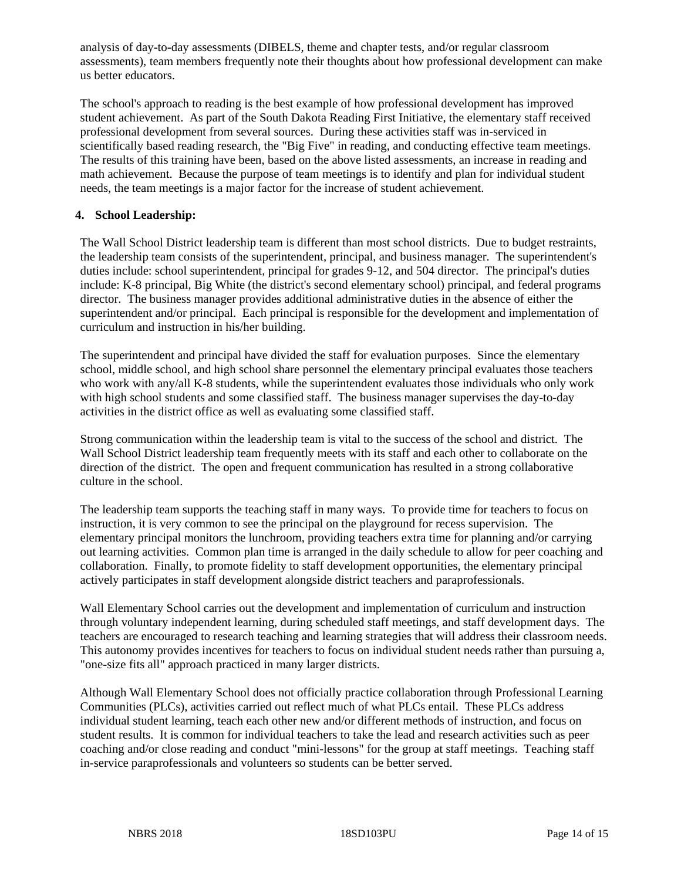analysis of day-to-day assessments (DIBELS, theme and chapter tests, and/or regular classroom assessments), team members frequently note their thoughts about how professional development can make us better educators.

The school's approach to reading is the best example of how professional development has improved student achievement. As part of the South Dakota Reading First Initiative, the elementary staff received professional development from several sources. During these activities staff was in-serviced in scientifically based reading research, the "Big Five" in reading, and conducting effective team meetings. The results of this training have been, based on the above listed assessments, an increase in reading and math achievement. Because the purpose of team meetings is to identify and plan for individual student needs, the team meetings is a major factor for the increase of student achievement.

#### **4. School Leadership:**

The Wall School District leadership team is different than most school districts. Due to budget restraints, the leadership team consists of the superintendent, principal, and business manager. The superintendent's duties include: school superintendent, principal for grades 9-12, and 504 director. The principal's duties include: K-8 principal, Big White (the district's second elementary school) principal, and federal programs director. The business manager provides additional administrative duties in the absence of either the superintendent and/or principal. Each principal is responsible for the development and implementation of curriculum and instruction in his/her building.

The superintendent and principal have divided the staff for evaluation purposes. Since the elementary school, middle school, and high school share personnel the elementary principal evaluates those teachers who work with any/all K-8 students, while the superintendent evaluates those individuals who only work with high school students and some classified staff. The business manager supervises the day-to-day activities in the district office as well as evaluating some classified staff.

Strong communication within the leadership team is vital to the success of the school and district. The Wall School District leadership team frequently meets with its staff and each other to collaborate on the direction of the district. The open and frequent communication has resulted in a strong collaborative culture in the school.

The leadership team supports the teaching staff in many ways. To provide time for teachers to focus on instruction, it is very common to see the principal on the playground for recess supervision. The elementary principal monitors the lunchroom, providing teachers extra time for planning and/or carrying out learning activities. Common plan time is arranged in the daily schedule to allow for peer coaching and collaboration. Finally, to promote fidelity to staff development opportunities, the elementary principal actively participates in staff development alongside district teachers and paraprofessionals.

Wall Elementary School carries out the development and implementation of curriculum and instruction through voluntary independent learning, during scheduled staff meetings, and staff development days. The teachers are encouraged to research teaching and learning strategies that will address their classroom needs. This autonomy provides incentives for teachers to focus on individual student needs rather than pursuing a, "one-size fits all" approach practiced in many larger districts.

Although Wall Elementary School does not officially practice collaboration through Professional Learning Communities (PLCs), activities carried out reflect much of what PLCs entail. These PLCs address individual student learning, teach each other new and/or different methods of instruction, and focus on student results. It is common for individual teachers to take the lead and research activities such as peer coaching and/or close reading and conduct "mini-lessons" for the group at staff meetings. Teaching staff in-service paraprofessionals and volunteers so students can be better served.